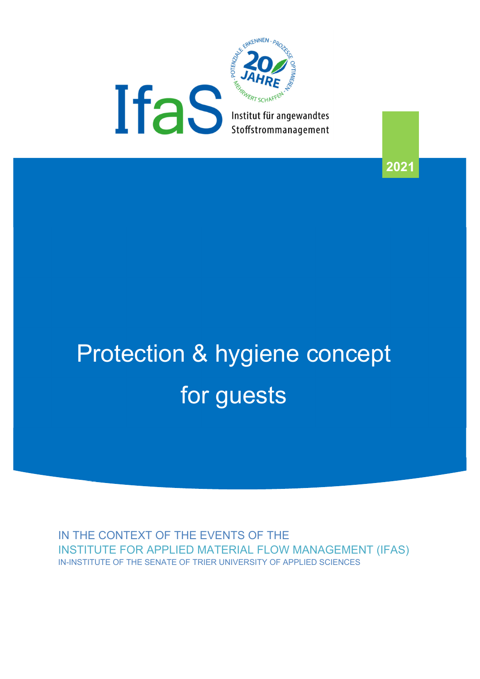

**2021**

# Protection & hygiene concept for guests

IN THE CONTEXT OF THE EVENTS OF THE INSTITUTE FOR APPLIED MATERIAL FLOW MANAGEMENT (IFAS) IN-INSTITUTE OF THE SENATE OF TRIER UNIVERSITY OF APPLIED SCIENCES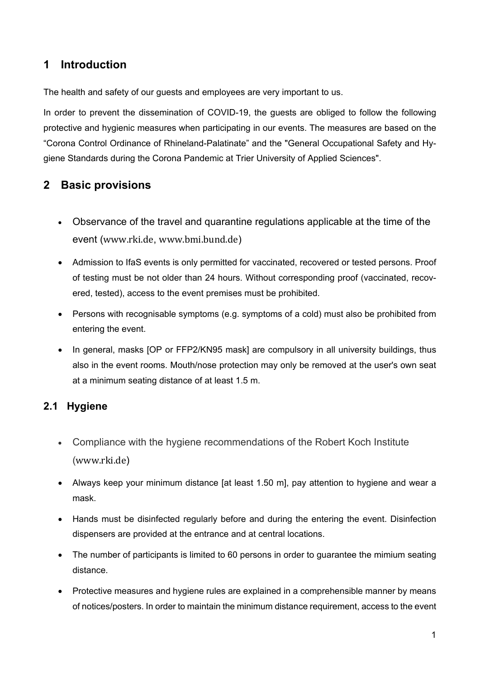## **1 Introduction**

The health and safety of our guests and employees are very important to us.

In order to prevent the dissemination of COVID-19, the guests are obliged to follow the following protective and hygienic measures when participating in our events. The measures are based on the "Corona Control Ordinance of Rhineland-Palatinate" and the "General Occupational Safety and Hygiene Standards during the Corona Pandemic at Trier University of Applied Sciences".

#### **2 Basic provisions**

- Observance of the travel and quarantine regulations applicable at the time of the event (www.rki.de, www.bmi.bund.de)
- Admission to IfaS events is only permitted for vaccinated, recovered or tested persons. Proof of testing must be not older than 24 hours. Without corresponding proof (vaccinated, recovered, tested), access to the event premises must be prohibited.
- Persons with recognisable symptoms (e.g. symptoms of a cold) must also be prohibited from entering the event.
- In general, masks [OP or FFP2/KN95 mask] are compulsory in all university buildings, thus also in the event rooms. Mouth/nose protection may only be removed at the user's own seat at a minimum seating distance of at least 1.5 m.

#### **2.1 Hygiene**

- Compliance with the hygiene recommendations of the Robert Koch Institute (www.rki.de)
- Always keep your minimum distance [at least 1.50 m], pay attention to hygiene and wear a mask.
- Hands must be disinfected regularly before and during the entering the event. Disinfection dispensers are provided at the entrance and at central locations.
- The number of participants is limited to 60 persons in order to guarantee the mimium seating distance.
- Protective measures and hygiene rules are explained in a comprehensible manner by means of notices/posters. In order to maintain the minimum distance requirement, access to the event